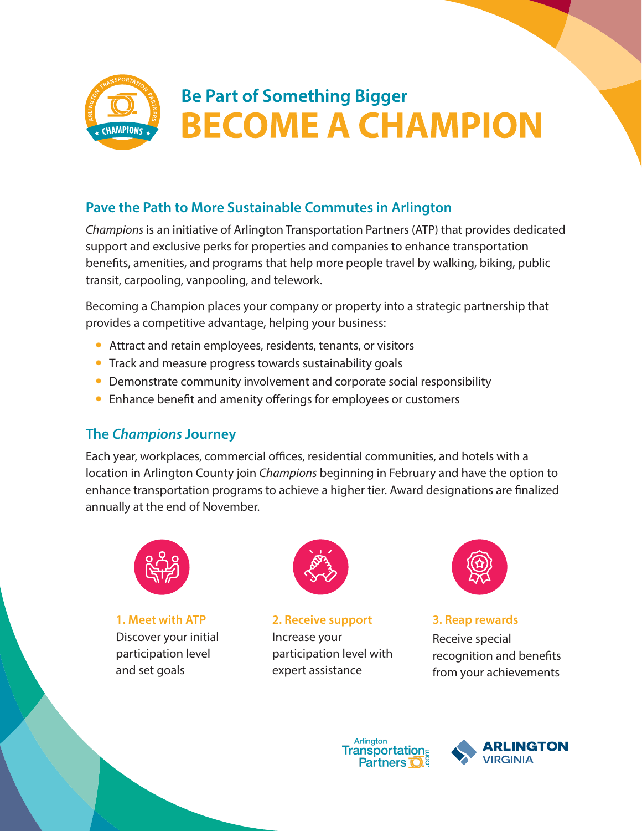

# **Be Part of Something Bigger BECOME A CHAMPION**

### **Pave the Path to More Sustainable Commutes in Arlington**

*Champions* is an initiative of Arlington Transportation Partners (ATP) that provides dedicated support and exclusive perks for properties and companies to enhance transportation benefits, amenities, and programs that help more people travel by walking, biking, public transit, carpooling, vanpooling, and telework.

Becoming a Champion places your company or property into a strategic partnership that provides a competitive advantage, helping your business:

- Attract and retain employees, residents, tenants, or visitors
- Track and measure progress towards sustainability goals
- Demonstrate community involvement and corporate social responsibility
- Enhance benefit and amenity offerings for employees or customers

#### **The** *Champions* **Journey**

Each year, workplaces, commercial offices, residential communities, and hotels with a location in Arlington County join *Champions* beginning in February and have the option to enhance transportation programs to achieve a higher tier. Award designations are finalized annually at the end of November.



**1. Meet with ATP** Discover your initial participation level and set goals



**2. Receive support**  Increase your participation level with expert assistance

**3. Reap rewards**

Receive special recognition and benefits from your achievements